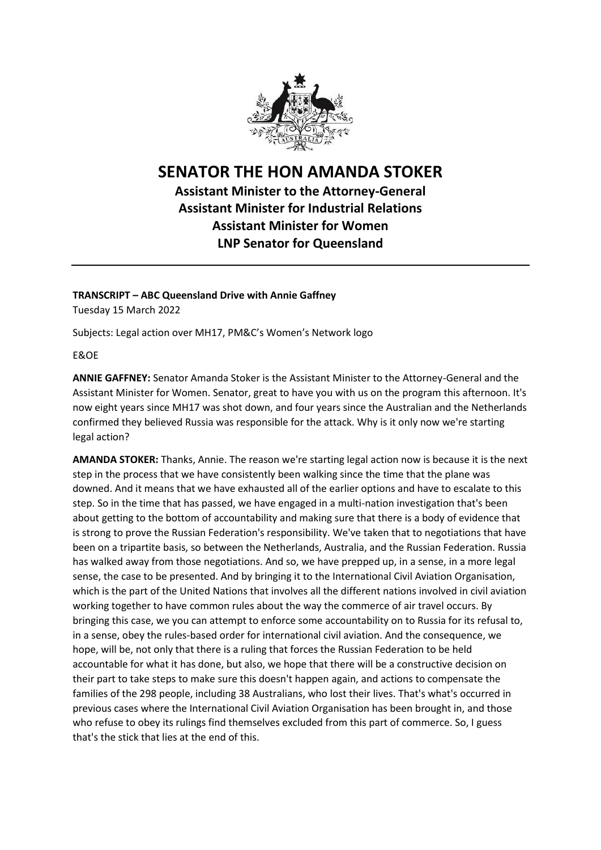

## **SENATOR THE HON AMANDA STOKER**

**Assistant Minister to the Attorney-General Assistant Minister for Industrial Relations Assistant Minister for Women LNP Senator for Queensland**

## **TRANSCRIPT – ABC Queensland Drive with Annie Gaffney**

Tuesday 15 March 2022

Subjects: Legal action over MH17, PM&C's Women's Network logo

E&OE

**ANNIE GAFFNEY:** Senator Amanda Stoker is the Assistant Minister to the Attorney-General and the Assistant Minister for Women. Senator, great to have you with us on the program this afternoon. It's now eight years since MH17 was shot down, and four years since the Australian and the Netherlands confirmed they believed Russia was responsible for the attack. Why is it only now we're starting legal action?

**AMANDA STOKER:** Thanks, Annie. The reason we're starting legal action now is because it is the next step in the process that we have consistently been walking since the time that the plane was downed. And it means that we have exhausted all of the earlier options and have to escalate to this step. So in the time that has passed, we have engaged in a multi-nation investigation that's been about getting to the bottom of accountability and making sure that there is a body of evidence that is strong to prove the Russian Federation's responsibility. We've taken that to negotiations that have been on a tripartite basis, so between the Netherlands, Australia, and the Russian Federation. Russia has walked away from those negotiations. And so, we have prepped up, in a sense, in a more legal sense, the case to be presented. And by bringing it to the International Civil Aviation Organisation, which is the part of the United Nations that involves all the different nations involved in civil aviation working together to have common rules about the way the commerce of air travel occurs. By bringing this case, we you can attempt to enforce some accountability on to Russia for its refusal to, in a sense, obey the rules-based order for international civil aviation. And the consequence, we hope, will be, not only that there is a ruling that forces the Russian Federation to be held accountable for what it has done, but also, we hope that there will be a constructive decision on their part to take steps to make sure this doesn't happen again, and actions to compensate the families of the 298 people, including 38 Australians, who lost their lives. That's what's occurred in previous cases where the International Civil Aviation Organisation has been brought in, and those who refuse to obey its rulings find themselves excluded from this part of commerce. So, I guess that's the stick that lies at the end of this.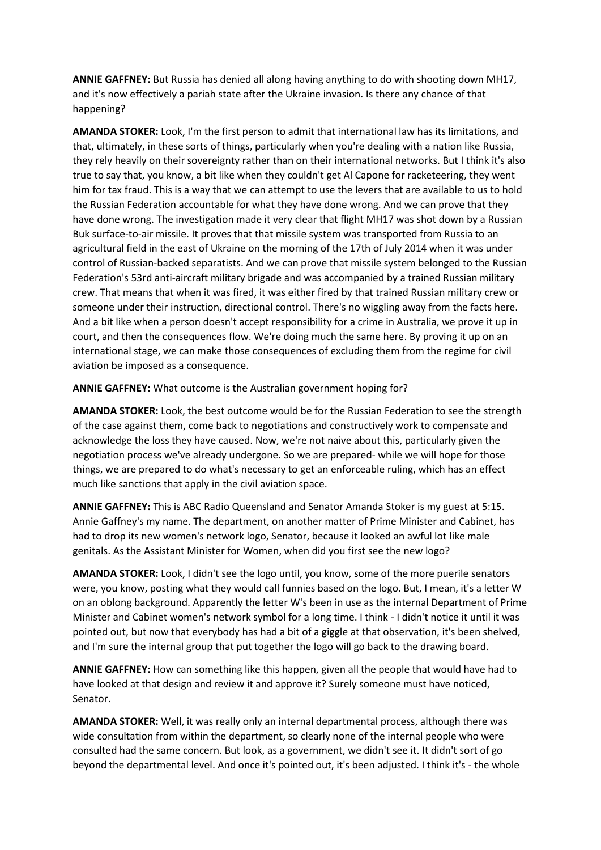**ANNIE GAFFNEY:** But Russia has denied all along having anything to do with shooting down MH17, and it's now effectively a pariah state after the Ukraine invasion. Is there any chance of that happening?

**AMANDA STOKER:** Look, I'm the first person to admit that international law has its limitations, and that, ultimately, in these sorts of things, particularly when you're dealing with a nation like Russia, they rely heavily on their sovereignty rather than on their international networks. But I think it's also true to say that, you know, a bit like when they couldn't get Al Capone for racketeering, they went him for tax fraud. This is a way that we can attempt to use the levers that are available to us to hold the Russian Federation accountable for what they have done wrong. And we can prove that they have done wrong. The investigation made it very clear that flight MH17 was shot down by a Russian Buk surface-to-air missile. It proves that that missile system was transported from Russia to an agricultural field in the east of Ukraine on the morning of the 17th of July 2014 when it was under control of Russian-backed separatists. And we can prove that missile system belonged to the Russian Federation's 53rd anti-aircraft military brigade and was accompanied by a trained Russian military crew. That means that when it was fired, it was either fired by that trained Russian military crew or someone under their instruction, directional control. There's no wiggling away from the facts here. And a bit like when a person doesn't accept responsibility for a crime in Australia, we prove it up in court, and then the consequences flow. We're doing much the same here. By proving it up on an international stage, we can make those consequences of excluding them from the regime for civil aviation be imposed as a consequence.

**ANNIE GAFFNEY:** What outcome is the Australian government hoping for?

**AMANDA STOKER:** Look, the best outcome would be for the Russian Federation to see the strength of the case against them, come back to negotiations and constructively work to compensate and acknowledge the loss they have caused. Now, we're not naive about this, particularly given the negotiation process we've already undergone. So we are prepared- while we will hope for those things, we are prepared to do what's necessary to get an enforceable ruling, which has an effect much like sanctions that apply in the civil aviation space.

**ANNIE GAFFNEY:** This is ABC Radio Queensland and Senator Amanda Stoker is my guest at 5:15. Annie Gaffney's my name. The department, on another matter of Prime Minister and Cabinet, has had to drop its new women's network logo, Senator, because it looked an awful lot like male genitals. As the Assistant Minister for Women, when did you first see the new logo?

**AMANDA STOKER:** Look, I didn't see the logo until, you know, some of the more puerile senators were, you know, posting what they would call funnies based on the logo. But, I mean, it's a letter W on an oblong background. Apparently the letter W's been in use as the internal Department of Prime Minister and Cabinet women's network symbol for a long time. I think - I didn't notice it until it was pointed out, but now that everybody has had a bit of a giggle at that observation, it's been shelved, and I'm sure the internal group that put together the logo will go back to the drawing board.

**ANNIE GAFFNEY:** How can something like this happen, given all the people that would have had to have looked at that design and review it and approve it? Surely someone must have noticed, Senator.

**AMANDA STOKER:** Well, it was really only an internal departmental process, although there was wide consultation from within the department, so clearly none of the internal people who were consulted had the same concern. But look, as a government, we didn't see it. It didn't sort of go beyond the departmental level. And once it's pointed out, it's been adjusted. I think it's - the whole